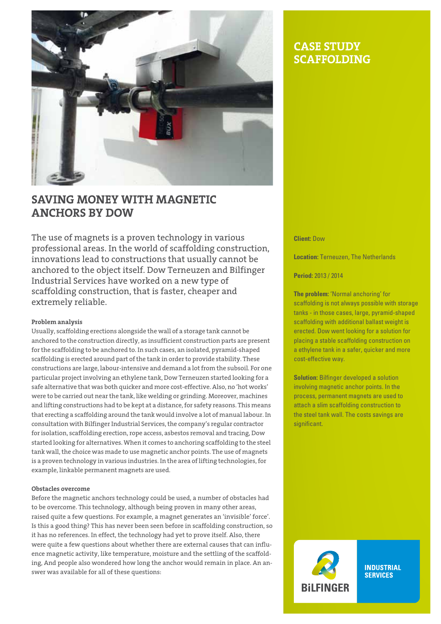

# **Saving money with magnetic anchors by Dow**

The use of magnets is a proven technology in various professional areas. In the world of scaffolding construction, innovations lead to constructions that usually cannot be anchored to the object itself. Dow Terneuzen and Bilfinger Industrial Services have worked on a new type of scaffolding construction, that is faster, cheaper and extremely reliable.

#### **Problem analysis**

Usually, scaffolding erections alongside the wall of a storage tank cannot be anchored to the construction directly, as insufficient construction parts are present for the scaffolding to be anchored to. In such cases, an isolated, pyramid-shaped scaffolding is erected around part of the tank in order to provide stability. These constructions are large, labour-intensive and demand a lot from the subsoil. For one particular project involving an ethylene tank, Dow Terneuzen started looking for a safe alternative that was both quicker and more cost-effective. Also, no 'hot works' were to be carried out near the tank, like welding or grinding. Moreover, machines and lifting constructions had to be kept at a distance, for safety reasons. This means that erecting a scaffolding around the tank would involve a lot of manual labour. In consultation with Bilfinger Industrial Services, the company's regular contractor for isolation, scaffolding erection, rope access, asbestos removal and tracing, Dow started looking for alternatives. When it comes to anchoring scaffolding to the steel tank wall, the choice was made to use magnetic anchor points. The use of magnets is a proven technology in various industries. In the area of lifting technologies, for example, linkable permanent magnets are used.

### **Obstacles overcome**

Before the magnetic anchors technology could be used, a number of obstacles had to be overcome. This technology, although being proven in many other areas, raised quite a few questions. For example, a magnet generates an 'invisible' force'. Is this a good thing? This has never been seen before in scaffolding construction, so it has no references. In effect, the technology had yet to prove itself. Also, there were quite a few questions about whether there are external causes that can influence magnetic activity, like temperature, moisture and the settling of the scaffolding, And people also wondered how long the anchor would remain in place. An answer was available for all of these questions:

# **case study scaffolding**

**Client:** Dow

**Location:** Terneuzen, The Netherlands

**Period:** 2013 / 2014

**The problem:** 'Normal anchoring' for scaffolding is not always possible with storage tanks - in those cases, large, pyramid-shaped scaffolding with additional ballast weight is erected. Dow went looking for a solution for placing a stable scaffolding construction on a ethylene tank in a safer, quicker and more cost-effective way.

**Solution:** Bilfinger developed a solution involving magnetic anchor points. In the process, permanent magnets are used to attach a slim scaffolding construction to the steel tank wall. The costs savings are significant.



**INDUSTRIAL SERVICES**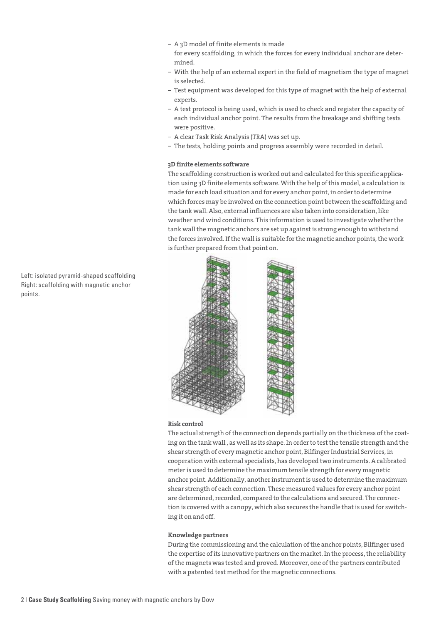- A 3D model of finite elements is made for every scaffolding, in which the forces for every individual anchor are determined.
- With the help of an external expert in the field of magnetism the type of magnet is selected.
- Test equipment was developed for this type of magnet with the help of external experts.
- A test protocol is being used, which is used to check and register the capacity of each individual anchor point. The results from the breakage and shifting tests were positive.
- A clear Task Risk Analysis (TRA) was set up.
- The tests, holding points and progress assembly were recorded in detail.

### **3D finite elements software**

The scaffolding construction is worked out and calculated for this specific application using 3D finite elements software. With the help of this model, a calculation is made for each load situation and for every anchor point, in order to determine which forces may be involved on the connection point between the scaffolding and the tank wall. Also, external influences are also taken into consideration, like weather and wind conditions. This information is used to investigate whether the tank wall the magnetic anchors are set up against is strong enough to withstand the forces involved. If the wall is suitable for the magnetic anchor points, the work is further prepared from that point on.



#### **Risk control**

The actual strength of the connection depends partially on the thickness of the coating on the tank wall , as well as its shape. In order to test the tensile strength and the shear strength of every magnetic anchor point, Bilfinger Industrial Services, in cooperation with external specialists, has developed two instruments. A calibrated meter is used to determine the maximum tensile strength for every magnetic anchor point. Additionally, another instrument is used to determine the maximum shear strength of each connection. These measured values for every anchor point are determined, recorded, compared to the calculations and secured. The connection is covered with a canopy, which also secures the handle that is used for switching it on and off.

#### **Knowledge partners**

During the commissioning and the calculation of the anchor points, Bilfinger used the expertise of its innovative partners on the market. In the process, the reliability of the magnets was tested and proved. Moreover, one of the partners contributed with a patented test method for the magnetic connections.

Left: isolated pyramid-shaped scaffolding Right: scaffolding with magnetic anchor points.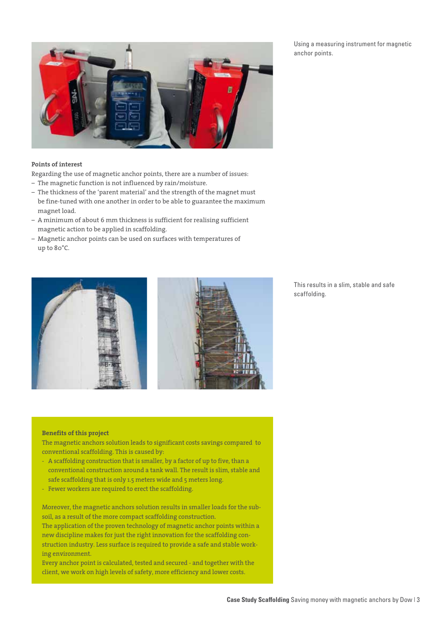

#### **Points of interest**

Regarding the use of magnetic anchor points, there are a number of issues:

- The magnetic function is not influenced by rain/moisture.
- The thickness of the 'parent material' and the strength of the magnet must be fine-tuned with one another in order to be able to guarantee the maximum magnet load.
- A minimum of about 6 mm thickness is sufficient for realising sufficient magnetic action to be applied in scaffolding.
- Magnetic anchor points can be used on surfaces with temperatures of up to 80°C.



This results in a slim, stable and safe scaffolding.

## **Benefits of this project**

The magnetic anchors solution leads to significant costs savings compared to conventional scaffolding. This is caused by:

- A scaffolding construction that is smaller, by a factor of up to five, than a conventional construction around a tank wall. The result is slim, stable and safe scaffolding that is only 1.5 meters wide and 5 meters long.
- Fewer workers are required to erect the scaffolding.

Moreover, the magnetic anchors solution results in smaller loads for the subsoil, as a result of the more compact scaffolding construction. The application of the proven technology of magnetic anchor points within a new discipline makes for just the right innovation for the scaffolding construction industry. Less surface is required to provide a safe and stable working environment.

Every anchor point is calculated, tested and secured - and together with the client, we work on high levels of safety, more efficiency and lower costs.

Using a measuring instrument for magnetic anchor points.